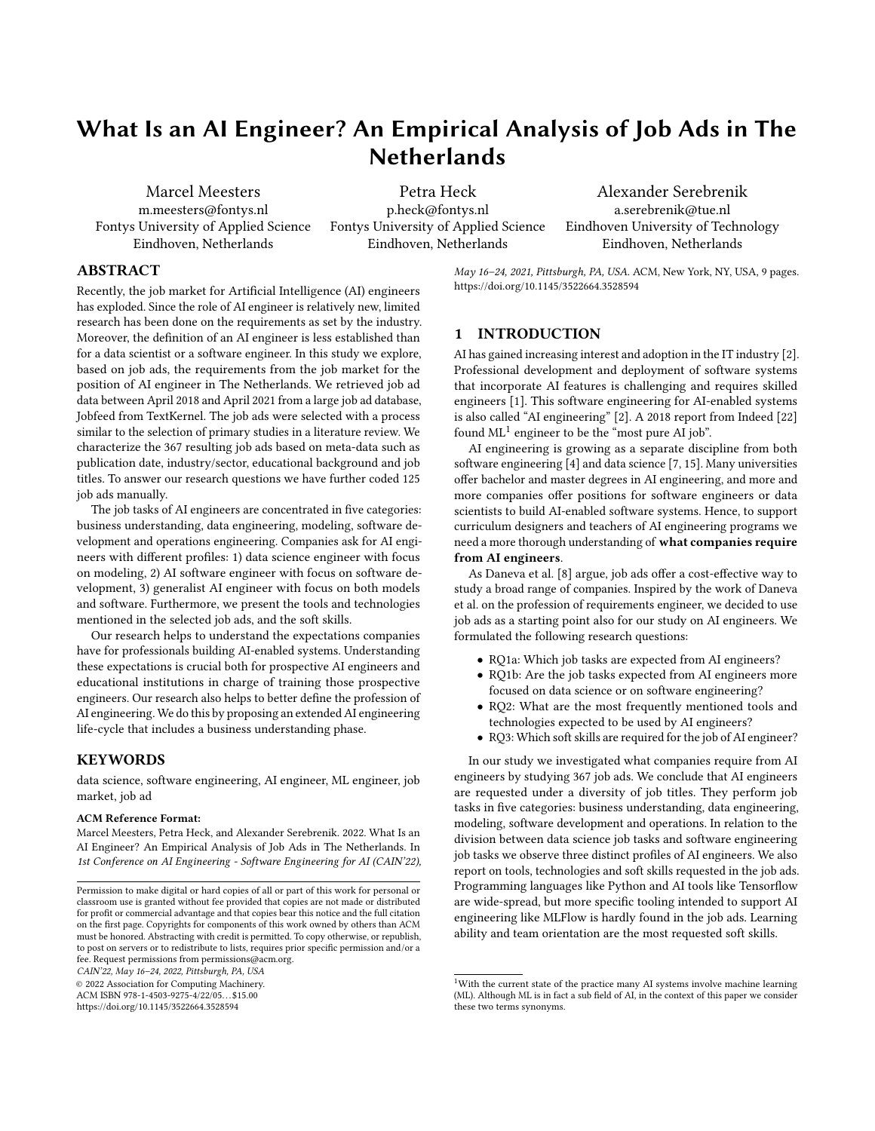# What Is an AI Engineer? An Empirical Analysis of Job Ads in The **Netherlands**

Marcel Meesters m.meesters@fontys.nl Fontys University of Applied Science Eindhoven, Netherlands

Petra Heck p.heck@fontys.nl Fontys University of Applied Science Eindhoven, Netherlands

Alexander Serebrenik a.serebrenik@tue.nl Eindhoven University of Technology Eindhoven, Netherlands

## ABSTRACT

Recently, the job market for Artificial Intelligence (AI) engineers has exploded. Since the role of AI engineer is relatively new, limited research has been done on the requirements as set by the industry. Moreover, the definition of an AI engineer is less established than for a data scientist or a software engineer. In this study we explore, based on job ads, the requirements from the job market for the position of AI engineer in The Netherlands. We retrieved job ad data between April 2018 and April 2021 from a large job ad database, Jobfeed from TextKernel. The job ads were selected with a process similar to the selection of primary studies in a literature review. We characterize the 367 resulting job ads based on meta-data such as publication date, industry/sector, educational background and job titles. To answer our research questions we have further coded 125 job ads manually.

The job tasks of AI engineers are concentrated in five categories: business understanding, data engineering, modeling, software development and operations engineering. Companies ask for AI engineers with different profiles: 1) data science engineer with focus on modeling, 2) AI software engineer with focus on software development, 3) generalist AI engineer with focus on both models and software. Furthermore, we present the tools and technologies mentioned in the selected job ads, and the soft skills.

Our research helps to understand the expectations companies have for professionals building AI-enabled systems. Understanding these expectations is crucial both for prospective AI engineers and educational institutions in charge of training those prospective engineers. Our research also helps to better define the profession of AI engineering. We do this by proposing an extended AI engineering life-cycle that includes a business understanding phase.

## KEYWORDS

data science, software engineering, AI engineer, ML engineer, job market, job ad

#### ACM Reference Format:

Marcel Meesters, Petra Heck, and Alexander Serebrenik. 2022. What Is an AI Engineer? An Empirical Analysis of Job Ads in The Netherlands. In 1st Conference on AI Engineering - Software Engineering for AI (CAIN'22),

CAIN'22, May 16–24, 2022, Pittsburgh, PA, USA

© 2022 Association for Computing Machinery.

ACM ISBN 978-1-4503-9275-4/22/05. . . \$15.00

<https://doi.org/10.1145/3522664.3528594>

May 16–24, 2021, Pittsburgh, PA, USA. ACM, New York, NY, USA, [9](#page-8-0) pages. <https://doi.org/10.1145/3522664.3528594>

# 1 INTRODUCTION

AI has gained increasing interest and adoption in the IT industry [\[2\]](#page-7-0). Professional development and deployment of software systems that incorporate AI features is challenging and requires skilled engineers [\[1\]](#page-7-1). This software engineering for AI-enabled systems is also called "AI engineering" [\[2\]](#page-7-0). A 2018 report from Indeed [\[22\]](#page-8-1) found  $ML<sup>1</sup>$  $ML<sup>1</sup>$  $ML<sup>1</sup>$  engineer to be the "most pure AI job".

AI engineering is growing as a separate discipline from both software engineering [\[4\]](#page-7-2) and data science [\[7,](#page-7-3) [15\]](#page-8-2). Many universities offer bachelor and master degrees in AI engineering, and more and more companies offer positions for software engineers or data scientists to build AI-enabled software systems. Hence, to support curriculum designers and teachers of AI engineering programs we need a more thorough understanding of what companies require from AI engineers.

As Daneva et al. [\[8\]](#page-7-4) argue, job ads offer a cost-effective way to study a broad range of companies. Inspired by the work of Daneva et al. on the profession of requirements engineer, we decided to use job ads as a starting point also for our study on AI engineers. We formulated the following research questions:

- RQ1a: Which job tasks are expected from AI engineers?
- RQ1b: Are the job tasks expected from AI engineers more focused on data science or on software engineering?
- RQ2: What are the most frequently mentioned tools and technologies expected to be used by AI engineers?
- RQ3: Which soft skills are required for the job of AI engineer?

In our study we investigated what companies require from AI engineers by studying 367 job ads. We conclude that AI engineers are requested under a diversity of job titles. They perform job tasks in five categories: business understanding, data engineering, modeling, software development and operations. In relation to the division between data science job tasks and software engineering job tasks we observe three distinct profiles of AI engineers. We also report on tools, technologies and soft skills requested in the job ads. Programming languages like Python and AI tools like Tensorflow are wide-spread, but more specific tooling intended to support AI engineering like MLFlow is hardly found in the job ads. Learning ability and team orientation are the most requested soft skills.

Permission to make digital or hard copies of all or part of this work for personal or classroom use is granted without fee provided that copies are not made or distributed for profit or commercial advantage and that copies bear this notice and the full citation on the first page. Copyrights for components of this work owned by others than ACM must be honored. Abstracting with credit is permitted. To copy otherwise, or republish, to post on servers or to redistribute to lists, requires prior specific permission and/or a fee. Request permissions from permissions@acm.org.

<span id="page-0-0"></span><sup>&</sup>lt;sup>1</sup>With the current state of the practice many AI systems involve machine learning (ML). Although ML is in fact a sub field of AI, in the context of this paper we consider these two terms synonyms.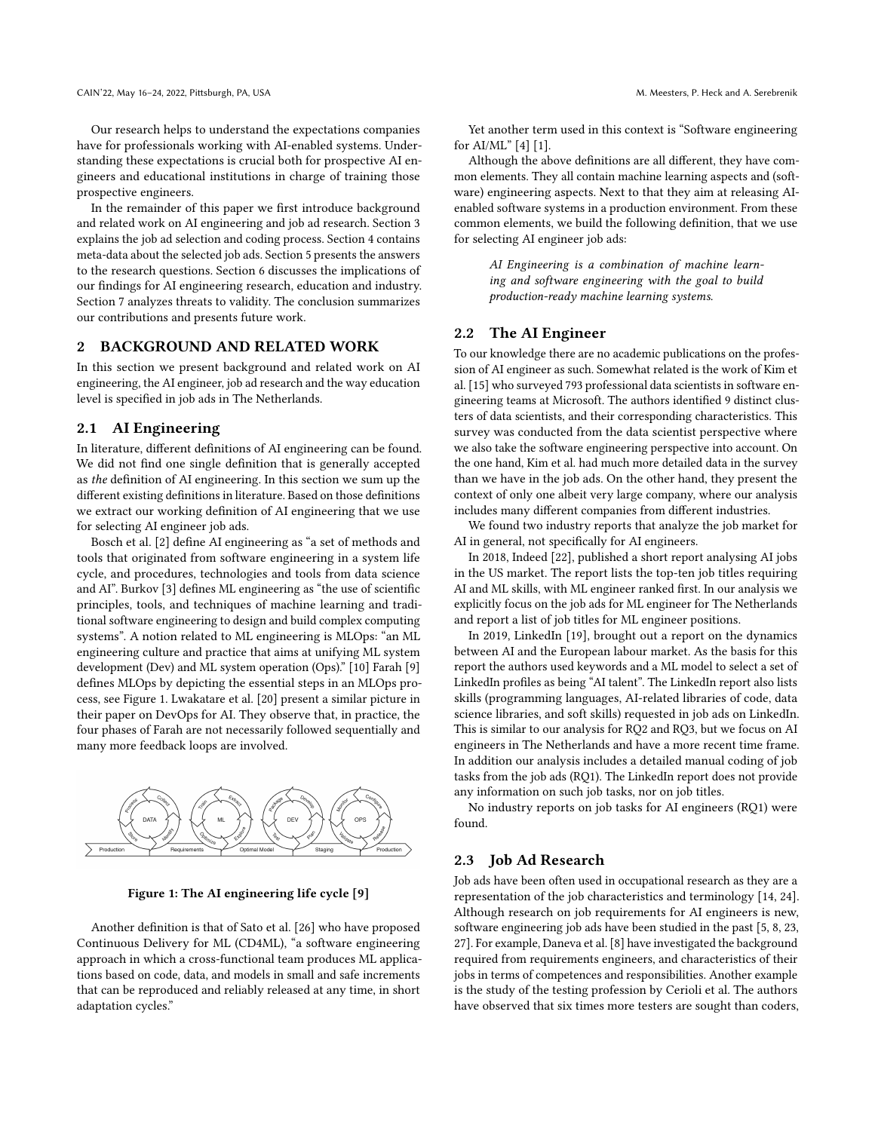Our research helps to understand the expectations companies have for professionals working with AI-enabled systems. Understanding these expectations is crucial both for prospective AI engineers and educational institutions in charge of training those prospective engineers.

In the remainder of this paper we first introduce background and related work on AI engineering and job ad research. Section [3](#page-2-0) explains the job ad selection and coding process. Section [4](#page-3-0) contains meta-data about the selected job ads. Section [5](#page-3-1) presents the answers to the research questions. Section [6](#page-5-0) discusses the implications of our findings for AI engineering research, education and industry. Section [7](#page-6-0) analyzes threats to validity. The conclusion summarizes our contributions and presents future work.

#### 2 BACKGROUND AND RELATED WORK

In this section we present background and related work on AI engineering, the AI engineer, job ad research and the way education level is specified in job ads in The Netherlands.

### <span id="page-1-1"></span>2.1 AI Engineering

In literature, different definitions of AI engineering can be found. We did not find one single definition that is generally accepted as the definition of AI engineering. In this section we sum up the different existing definitions in literature. Based on those definitions we extract our working definition of AI engineering that we use for selecting AI engineer job ads.

Bosch et al. [\[2\]](#page-7-0) define AI engineering as "a set of methods and tools that originated from software engineering in a system life cycle, and procedures, technologies and tools from data science and AI". Burkov [\[3\]](#page-7-5) defines ML engineering as "the use of scientific principles, tools, and techniques of machine learning and traditional software engineering to design and build complex computing systems". A notion related to ML engineering is MLOps: "an ML engineering culture and practice that aims at unifying ML system development (Dev) and ML system operation (Ops)." [\[10\]](#page-7-6) Farah [\[9\]](#page-7-7) defines MLOps by depicting the essential steps in an MLOps process, see Figure [1.](#page-1-0) Lwakatare et al. [\[20\]](#page-8-3) present a similar picture in their paper on DevOps for AI. They observe that, in practice, the four phases of Farah are not necessarily followed sequentially and many more feedback loops are involved.

<span id="page-1-0"></span>



Another definition is that of Sato et al. [\[26\]](#page-8-4) who have proposed Continuous Delivery for ML (CD4ML), "a software engineering approach in which a cross-functional team produces ML applications based on code, data, and models in small and safe increments that can be reproduced and reliably released at any time, in short adaptation cycles."

Yet another term used in this context is "Software engineering for AI/ML" [\[4\]](#page-7-2) [\[1\]](#page-7-1).

Although the above definitions are all different, they have common elements. They all contain machine learning aspects and (software) engineering aspects. Next to that they aim at releasing AIenabled software systems in a production environment. From these common elements, we build the following definition, that we use for selecting AI engineer job ads:

> AI Engineering is a combination of machine learning and software engineering with the goal to build production-ready machine learning systems.

# 2.2 The AI Engineer

To our knowledge there are no academic publications on the profession of AI engineer as such. Somewhat related is the work of Kim et al. [\[15\]](#page-8-2) who surveyed 793 professional data scientists in software engineering teams at Microsoft. The authors identified 9 distinct clusters of data scientists, and their corresponding characteristics. This survey was conducted from the data scientist perspective where we also take the software engineering perspective into account. On the one hand, Kim et al. had much more detailed data in the survey than we have in the job ads. On the other hand, they present the context of only one albeit very large company, where our analysis includes many different companies from different industries.

We found two industry reports that analyze the job market for AI in general, not specifically for AI engineers.

In 2018, Indeed [\[22\]](#page-8-1), published a short report analysing AI jobs in the US market. The report lists the top-ten job titles requiring AI and ML skills, with ML engineer ranked first. In our analysis we explicitly focus on the job ads for ML engineer for The Netherlands and report a list of job titles for ML engineer positions.

In 2019, LinkedIn [\[19\]](#page-8-5), brought out a report on the dynamics between AI and the European labour market. As the basis for this report the authors used keywords and a ML model to select a set of LinkedIn profiles as being "AI talent". The LinkedIn report also lists skills (programming languages, AI-related libraries of code, data science libraries, and soft skills) requested in job ads on LinkedIn. This is similar to our analysis for RQ2 and RQ3, but we focus on AI engineers in The Netherlands and have a more recent time frame. In addition our analysis includes a detailed manual coding of job tasks from the job ads (RQ1). The LinkedIn report does not provide any information on such job tasks, nor on job titles.

No industry reports on job tasks for AI engineers (RQ1) were found.

#### 2.3 Job Ad Research

Job ads have been often used in occupational research as they are a representation of the job characteristics and terminology [\[14,](#page-8-6) [24\]](#page-8-7). Although research on job requirements for AI engineers is new, software engineering job ads have been studied in the past [\[5,](#page-7-8) [8,](#page-7-4) [23,](#page-8-8) [27\]](#page-8-9). For example, Daneva et al. [\[8\]](#page-7-4) have investigated the background required from requirements engineers, and characteristics of their jobs in terms of competences and responsibilities. Another example is the study of the testing profession by Cerioli et al. The authors have observed that six times more testers are sought than coders,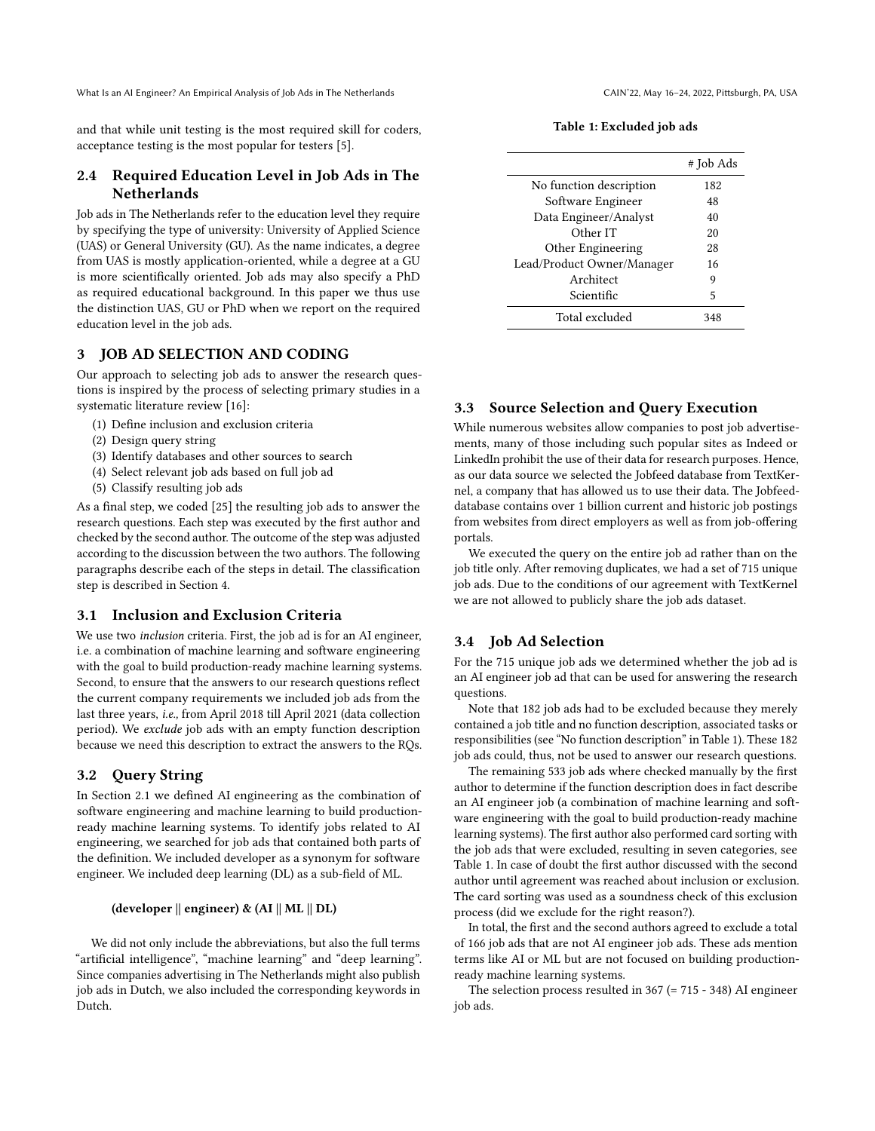and that while unit testing is the most required skill for coders, acceptance testing is the most popular for testers [\[5\]](#page-7-8).

# 2.4 Required Education Level in Job Ads in The Netherlands

Job ads in The Netherlands refer to the education level they require by specifying the type of university: University of Applied Science (UAS) or General University (GU). As the name indicates, a degree from UAS is mostly application-oriented, while a degree at a GU is more scientifically oriented. Job ads may also specify a PhD as required educational background. In this paper we thus use the distinction UAS, GU or PhD when we report on the required education level in the job ads.

## <span id="page-2-0"></span>3 JOB AD SELECTION AND CODING

Our approach to selecting job ads to answer the research questions is inspired by the process of selecting primary studies in a systematic literature review [\[16\]](#page-8-10):

- (1) Define inclusion and exclusion criteria
- (2) Design query string
- (3) Identify databases and other sources to search
- (4) Select relevant job ads based on full job ad
- (5) Classify resulting job ads

As a final step, we coded [\[25\]](#page-8-11) the resulting job ads to answer the research questions. Each step was executed by the first author and checked by the second author. The outcome of the step was adjusted according to the discussion between the two authors. The following paragraphs describe each of the steps in detail. The classification step is described in Section [4.](#page-3-0)

## 3.1 Inclusion and Exclusion Criteria

We use two inclusion criteria. First, the job ad is for an AI engineer, i.e. a combination of machine learning and software engineering with the goal to build production-ready machine learning systems. Second, to ensure that the answers to our research questions reflect the current company requirements we included job ads from the last three years, i.e., from April 2018 till April 2021 (data collection period). We exclude job ads with an empty function description because we need this description to extract the answers to the RQs.

## 3.2 Query String

In Section [2.1](#page-1-1) we defined AI engineering as the combination of software engineering and machine learning to build productionready machine learning systems. To identify jobs related to AI engineering, we searched for job ads that contained both parts of the definition. We included developer as a synonym for software engineer. We included deep learning (DL) as a sub-field of ML.

#### (developer || engineer) & (AI || ML || DL)

We did not only include the abbreviations, but also the full terms "artificial intelligence", "machine learning" and "deep learning". Since companies advertising in The Netherlands might also publish job ads in Dutch, we also included the corresponding keywords in Dutch.

Table 1: Excluded job ads

<span id="page-2-1"></span>

|                            | # Job Ads |
|----------------------------|-----------|
| No function description    | 182       |
| Software Engineer          | 48        |
| Data Engineer/Analyst      | 40        |
| Other IT                   | 20        |
| Other Engineering          | 28        |
| Lead/Product Owner/Manager | 16        |
| Architect                  | 9         |
| Scientific                 | 5         |
| Total excluded             | 348       |

# 3.3 Source Selection and Query Execution

While numerous websites allow companies to post job advertisements, many of those including such popular sites as Indeed or LinkedIn prohibit the use of their data for research purposes. Hence, as our data source we selected the Jobfeed database from TextKernel, a company that has allowed us to use their data. The Jobfeeddatabase contains over 1 billion current and historic job postings from websites from direct employers as well as from job-offering portals.

We executed the query on the entire job ad rather than on the job title only. After removing duplicates, we had a set of 715 unique job ads. Due to the conditions of our agreement with TextKernel we are not allowed to publicly share the job ads dataset.

## 3.4 Job Ad Selection

For the 715 unique job ads we determined whether the job ad is an AI engineer job ad that can be used for answering the research questions.

Note that 182 job ads had to be excluded because they merely contained a job title and no function description, associated tasks or responsibilities (see "No function description" in Table [1\)](#page-2-1). These 182 job ads could, thus, not be used to answer our research questions.

The remaining 533 job ads where checked manually by the first author to determine if the function description does in fact describe an AI engineer job (a combination of machine learning and software engineering with the goal to build production-ready machine learning systems). The first author also performed card sorting with the job ads that were excluded, resulting in seven categories, see Table [1.](#page-2-1) In case of doubt the first author discussed with the second author until agreement was reached about inclusion or exclusion. The card sorting was used as a soundness check of this exclusion process (did we exclude for the right reason?).

In total, the first and the second authors agreed to exclude a total of 166 job ads that are not AI engineer job ads. These ads mention terms like AI or ML but are not focused on building productionready machine learning systems.

The selection process resulted in 367 (= 715 - 348) AI engineer job ads.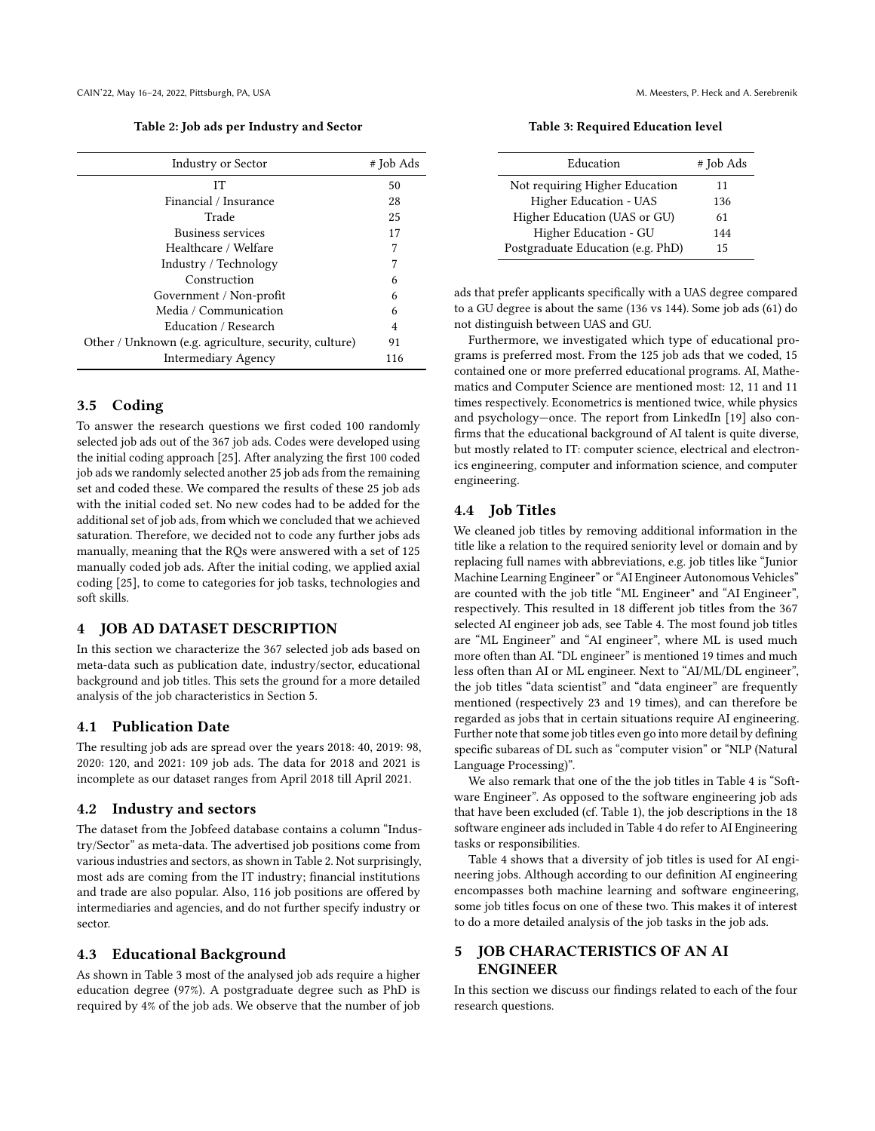Table 2: Job ads per Industry and Sector

<span id="page-3-2"></span>

| <b>Industry or Sector</b>                             | # Job Ads |
|-------------------------------------------------------|-----------|
| IТ                                                    | 50        |
| Financial / Insurance                                 | 28        |
| Trade                                                 | 25        |
| Business services                                     | 17        |
| Healthcare / Welfare                                  | 7         |
| Industry / Technology                                 | 7         |
| Construction                                          | 6         |
| Government / Non-profit                               | 6         |
| Media / Communication                                 | 6         |
| Education / Research                                  | 4         |
| Other / Unknown (e.g. agriculture, security, culture) | 91        |
| Intermediary Agency                                   | 116       |

#### 3.5 Coding

To answer the research questions we first coded 100 randomly selected job ads out of the 367 job ads. Codes were developed using the initial coding approach [\[25\]](#page-8-11). After analyzing the first 100 coded job ads we randomly selected another 25 job ads from the remaining set and coded these. We compared the results of these 25 job ads with the initial coded set. No new codes had to be added for the additional set of job ads, from which we concluded that we achieved saturation. Therefore, we decided not to code any further jobs ads manually, meaning that the RQs were answered with a set of 125 manually coded job ads. After the initial coding, we applied axial coding [\[25\]](#page-8-11), to come to categories for job tasks, technologies and soft skills.

## <span id="page-3-0"></span>4 JOB AD DATASET DESCRIPTION

In this section we characterize the 367 selected job ads based on meta-data such as publication date, industry/sector, educational background and job titles. This sets the ground for a more detailed analysis of the job characteristics in Section [5.](#page-3-1)

#### 4.1 Publication Date

The resulting job ads are spread over the years 2018: 40, 2019: 98, 2020: 120, and 2021: 109 job ads. The data for 2018 and 2021 is incomplete as our dataset ranges from April 2018 till April 2021.

## 4.2 Industry and sectors

The dataset from the Jobfeed database contains a column "Industry/Sector" as meta-data. The advertised job positions come from various industries and sectors, as shown in Table [2.](#page-3-2) Not surprisingly, most ads are coming from the IT industry; financial institutions and trade are also popular. Also, 116 job positions are offered by intermediaries and agencies, and do not further specify industry or sector.

## 4.3 Educational Background

As shown in Table [3](#page-3-3) most of the analysed job ads require a higher education degree (97%). A postgraduate degree such as PhD is required by 4% of the job ads. We observe that the number of job

<span id="page-3-3"></span>Education # Job Ads Not requiring Higher Education 11 Higher Education - UAS 136 Higher Education (UAS or GU) 61 Higher Education - GU 144

Postgraduate Education (e.g. PhD) 15

Table 3: Required Education level

ads that prefer applicants specifically with a UAS degree compared to a GU degree is about the same (136 vs 144). Some job ads (61) do not distinguish between UAS and GU.

Furthermore, we investigated which type of educational programs is preferred most. From the 125 job ads that we coded, 15 contained one or more preferred educational programs. AI, Mathematics and Computer Science are mentioned most: 12, 11 and 11 times respectively. Econometrics is mentioned twice, while physics and psychology—once. The report from LinkedIn [\[19\]](#page-8-5) also confirms that the educational background of AI talent is quite diverse, but mostly related to IT: computer science, electrical and electronics engineering, computer and information science, and computer engineering.

#### 4.4 Job Titles

We cleaned job titles by removing additional information in the title like a relation to the required seniority level or domain and by replacing full names with abbreviations, e.g. job titles like "Junior Machine Learning Engineer" or "AI Engineer Autonomous Vehicles" are counted with the job title "ML Engineer" and "AI Engineer", respectively. This resulted in 18 different job titles from the 367 selected AI engineer job ads, see Table [4.](#page-4-0) The most found job titles are "ML Engineer" and "AI engineer", where ML is used much more often than AI. "DL engineer" is mentioned 19 times and much less often than AI or ML engineer. Next to "AI/ML/DL engineer", the job titles "data scientist" and "data engineer" are frequently mentioned (respectively 23 and 19 times), and can therefore be regarded as jobs that in certain situations require AI engineering. Further note that some job titles even go into more detail by defining specific subareas of DL such as "computer vision" or "NLP (Natural Language Processing)".

We also remark that one of the the job titles in Table [4](#page-4-0) is "Software Engineer". As opposed to the software engineering job ads that have been excluded (cf. Table [1\)](#page-2-1), the job descriptions in the 18 software engineer ads included in Table [4](#page-4-0) do refer to AI Engineering tasks or responsibilities.

Table [4](#page-4-0) shows that a diversity of job titles is used for AI engineering jobs. Although according to our definition AI engineering encompasses both machine learning and software engineering, some job titles focus on one of these two. This makes it of interest to do a more detailed analysis of the job tasks in the job ads.

# <span id="page-3-1"></span>5 JOB CHARACTERISTICS OF AN AI ENGINEER

In this section we discuss our findings related to each of the four research questions.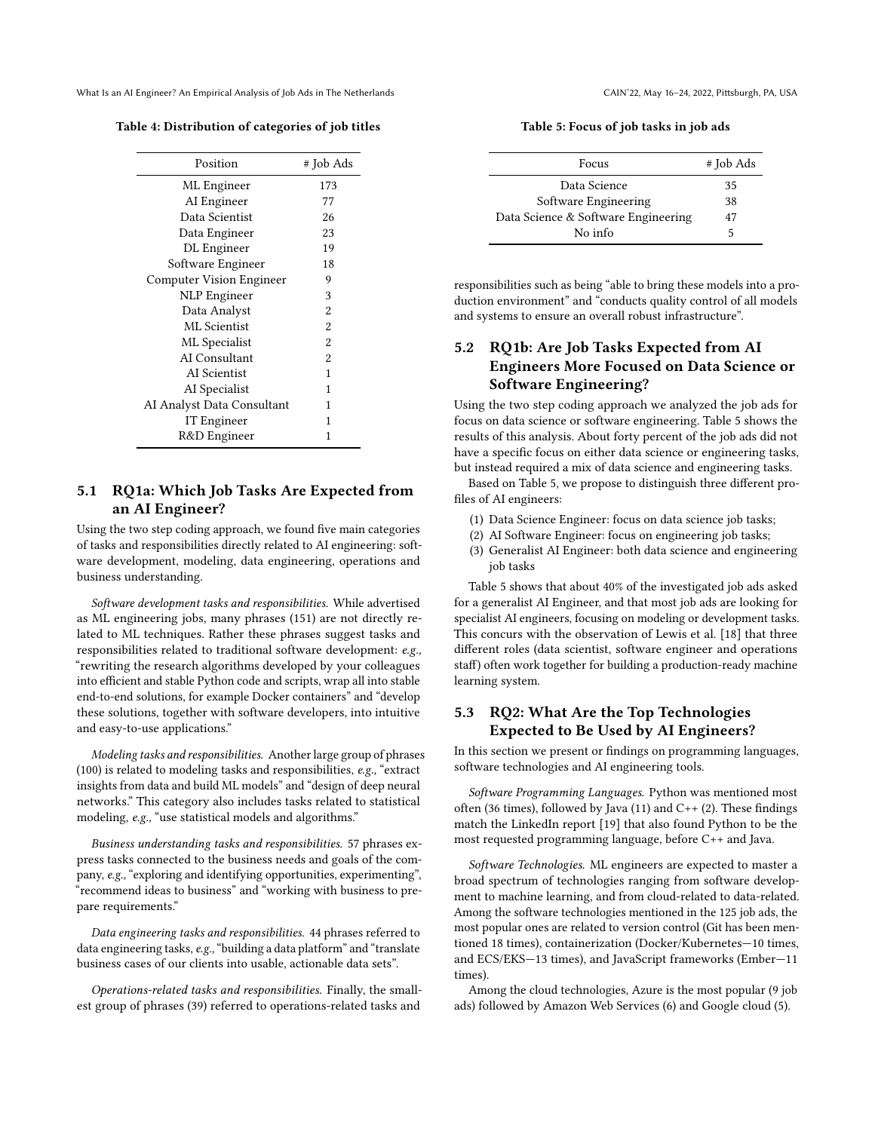<span id="page-4-0"></span>

| Table 4: Distribution of categories of job titles |  |  |
|---------------------------------------------------|--|--|
|                                                   |  |  |

| Position                        | # Job Ads      |
|---------------------------------|----------------|
| ML Engineer                     | 173            |
| AI Engineer                     | 77             |
| Data Scientist                  | 26             |
| Data Engineer                   | 23             |
| DL Engineer                     | 19             |
| Software Engineer               | 18             |
| <b>Computer Vision Engineer</b> | 9              |
| <b>NLP</b> Engineer             | 3              |
| Data Analyst                    | $\overline{2}$ |
| ML Scientist                    | $\overline{2}$ |
| ML Specialist                   | $\overline{2}$ |
| AI Consultant                   | $\overline{a}$ |
| AI Scientist                    | 1              |
| AI Specialist                   | 1              |
| AI Analyst Data Consultant      | 1              |
| IT Engineer                     | 1              |
| R&D Engineer                    | 1              |
|                                 |                |

# <span id="page-4-2"></span>5.1 RQ1a: Which Job Tasks Are Expected from an AI Engineer?

Using the two step coding approach, we found five main categories of tasks and responsibilities directly related to AI engineering: software development, modeling, data engineering, operations and business understanding.

Software development tasks and responsibilities. While advertised as ML engineering jobs, many phrases (151) are not directly related to ML techniques. Rather these phrases suggest tasks and responsibilities related to traditional software development: e.g., "rewriting the research algorithms developed by your colleagues into efficient and stable Python code and scripts, wrap all into stable end-to-end solutions, for example Docker containers" and "develop these solutions, together with software developers, into intuitive and easy-to-use applications."

Modeling tasks and responsibilities. Another large group of phrases (100) is related to modeling tasks and responsibilities, e.g., "extract insights from data and build ML models" and "design of deep neural networks." This category also includes tasks related to statistical modeling, e.g., "use statistical models and algorithms."

Business understanding tasks and responsibilities. 57 phrases express tasks connected to the business needs and goals of the company, e.g., "exploring and identifying opportunities, experimenting", "recommend ideas to business" and "working with business to prepare requirements."

Data engineering tasks and responsibilities. 44 phrases referred to data engineering tasks, e.g.,"building a data platform" and "translate business cases of our clients into usable, actionable data sets".

Operations-related tasks and responsibilities. Finally, the smallest group of phrases (39) referred to operations-related tasks and

Table 5: Focus of job tasks in job ads

<span id="page-4-1"></span>

| Focus                               | # Job Ads |
|-------------------------------------|-----------|
| Data Science                        | 35        |
| Software Engineering                | 38        |
| Data Science & Software Engineering | 47        |
| No info                             | 5         |

responsibilities such as being "able to bring these models into a production environment" and "conducts quality control of all models and systems to ensure an overall robust infrastructure".

# <span id="page-4-3"></span>5.2 RQ1b: Are Job Tasks Expected from AI Engineers More Focused on Data Science or Software Engineering?

Using the two step coding approach we analyzed the job ads for focus on data science or software engineering. Table [5](#page-4-1) shows the results of this analysis. About forty percent of the job ads did not have a specific focus on either data science or engineering tasks, but instead required a mix of data science and engineering tasks.

Based on Table [5,](#page-4-1) we propose to distinguish three different profiles of AI engineers:

- (1) Data Science Engineer: focus on data science job tasks;
- (2) AI Software Engineer: focus on engineering job tasks;
- (3) Generalist AI Engineer: both data science and engineering job tasks

Table [5](#page-4-1) shows that about 40% of the investigated job ads asked for a generalist AI Engineer, and that most job ads are looking for specialist AI engineers, focusing on modeling or development tasks. This concurs with the observation of Lewis et al. [\[18\]](#page-8-12) that three different roles (data scientist, software engineer and operations staff) often work together for building a production-ready machine learning system.

# 5.3 RQ2: What Are the Top Technologies Expected to Be Used by AI Engineers?

In this section we present or findings on programming languages, software technologies and AI engineering tools.

Software Programming Languages. Python was mentioned most often (36 times), followed by Java (11) and C++ (2). These findings match the LinkedIn report [\[19\]](#page-8-5) that also found Python to be the most requested programming language, before C++ and Java.

Software Technologies. ML engineers are expected to master a broad spectrum of technologies ranging from software development to machine learning, and from cloud-related to data-related. Among the software technologies mentioned in the 125 job ads, the most popular ones are related to version control (Git has been mentioned 18 times), containerization (Docker/Kubernetes—10 times, and ECS/EKS—13 times), and JavaScript frameworks (Ember—11 times).

Among the cloud technologies, Azure is the most popular (9 job ads) followed by Amazon Web Services (6) and Google cloud (5).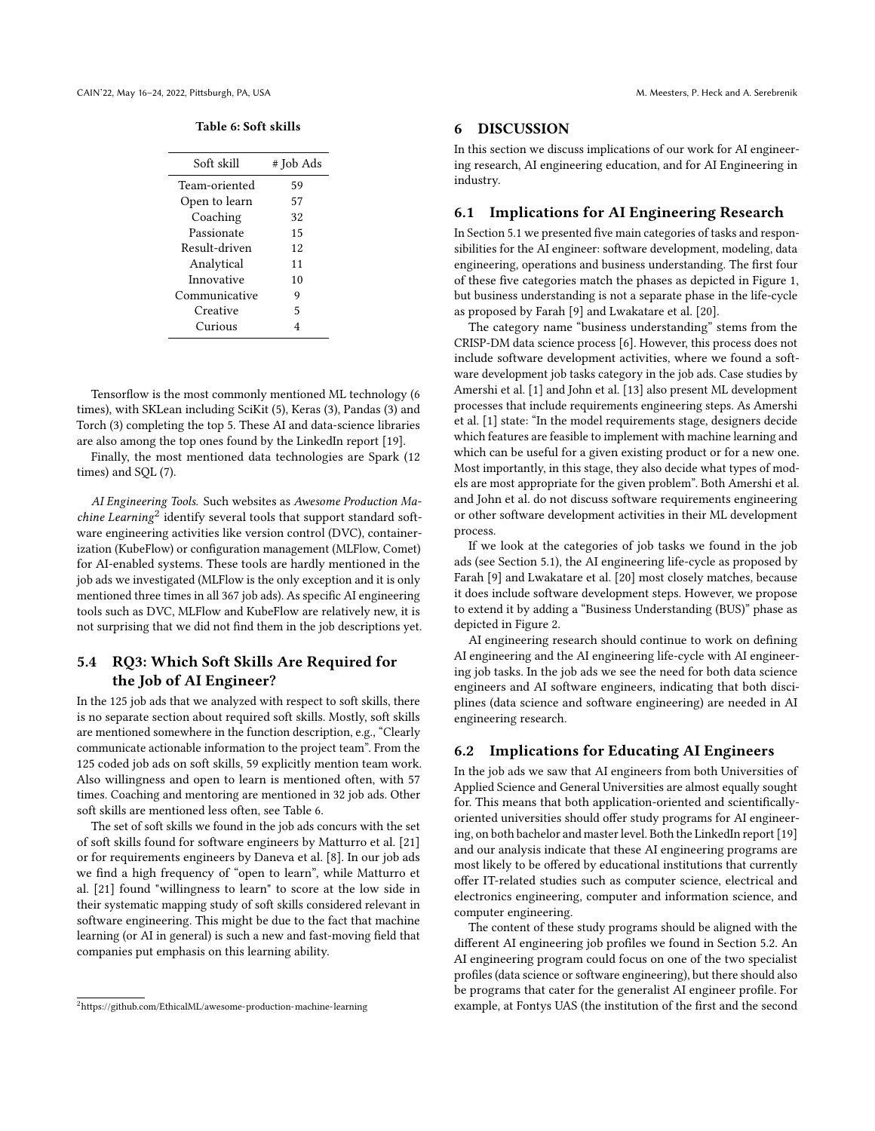#### Table 6: Soft skills

<span id="page-5-2"></span>

| Soft skill    | # Job Ads |
|---------------|-----------|
| Team-oriented | 59        |
| Open to learn | 57        |
| Coaching      | 32        |
| Passionate    | 15        |
| Result-driven | 12        |
| Analytical    | 11        |
| Innovative    | 10        |
| Communicative | 9         |
| Creative      | 5         |
| Curious       |           |
|               |           |

Tensorflow is the most commonly mentioned ML technology (6 times), with SKLean including SciKit (5), Keras (3), Pandas (3) and Torch (3) completing the top 5. These AI and data-science libraries are also among the top ones found by the LinkedIn report [\[19\]](#page-8-5).

Finally, the most mentioned data technologies are Spark (12 times) and SQL (7).

AI Engineering Tools. Such websites as Awesome Production Ma-chine Learning<sup>[2](#page-5-1)</sup> identify several tools that support standard software engineering activities like version control (DVC), containerization (KubeFlow) or configuration management (MLFlow, Comet) for AI-enabled systems. These tools are hardly mentioned in the job ads we investigated (MLFlow is the only exception and it is only mentioned three times in all 367 job ads). As specific AI engineering tools such as DVC, MLFlow and KubeFlow are relatively new, it is not surprising that we did not find them in the job descriptions yet.

## 5.4 RQ3: Which Soft Skills Are Required for the Job of AI Engineer?

In the 125 job ads that we analyzed with respect to soft skills, there is no separate section about required soft skills. Mostly, soft skills are mentioned somewhere in the function description, e.g., "Clearly communicate actionable information to the project team". From the 125 coded job ads on soft skills, 59 explicitly mention team work. Also willingness and open to learn is mentioned often, with 57 times. Coaching and mentoring are mentioned in 32 job ads. Other soft skills are mentioned less often, see Table [6.](#page-5-2)

The set of soft skills we found in the job ads concurs with the set of soft skills found for software engineers by Matturro et al. [\[21\]](#page-8-13) or for requirements engineers by Daneva et al. [\[8\]](#page-7-4). In our job ads we find a high frequency of "open to learn", while Matturro et al. [\[21\]](#page-8-13) found "willingness to learn" to score at the low side in their systematic mapping study of soft skills considered relevant in software engineering. This might be due to the fact that machine learning (or AI in general) is such a new and fast-moving field that companies put emphasis on this learning ability.

### <span id="page-5-0"></span>6 DISCUSSION

In this section we discuss implications of our work for AI engineering research, AI engineering education, and for AI Engineering in industry.

## 6.1 Implications for AI Engineering Research

In Section [5.1](#page-4-2) we presented five main categories of tasks and responsibilities for the AI engineer: software development, modeling, data engineering, operations and business understanding. The first four of these five categories match the phases as depicted in Figure [1,](#page-1-0) but business understanding is not a separate phase in the life-cycle as proposed by Farah [\[9\]](#page-7-7) and Lwakatare et al. [\[20\]](#page-8-3).

The category name "business understanding" stems from the CRISP-DM data science process [\[6\]](#page-7-9). However, this process does not include software development activities, where we found a software development job tasks category in the job ads. Case studies by Amershi et al. [\[1\]](#page-7-1) and John et al. [\[13\]](#page-8-14) also present ML development processes that include requirements engineering steps. As Amershi et al. [\[1\]](#page-7-1) state: "In the model requirements stage, designers decide which features are feasible to implement with machine learning and which can be useful for a given existing product or for a new one. Most importantly, in this stage, they also decide what types of models are most appropriate for the given problem". Both Amershi et al. and John et al. do not discuss software requirements engineering or other software development activities in their ML development process.

If we look at the categories of job tasks we found in the job ads (see Section [5.1\)](#page-4-2), the AI engineering life-cycle as proposed by Farah [\[9\]](#page-7-7) and Lwakatare et al. [\[20\]](#page-8-3) most closely matches, because it does include software development steps. However, we propose to extend it by adding a "Business Understanding (BUS)" phase as depicted in Figure [2.](#page-6-1)

AI engineering research should continue to work on defining AI engineering and the AI engineering life-cycle with AI engineering job tasks. In the job ads we see the need for both data science engineers and AI software engineers, indicating that both disciplines (data science and software engineering) are needed in AI engineering research.

#### 6.2 Implications for Educating AI Engineers

In the job ads we saw that AI engineers from both Universities of Applied Science and General Universities are almost equally sought for. This means that both application-oriented and scientificallyoriented universities should offer study programs for AI engineering, on both bachelor and master level. Both the LinkedIn report [\[19\]](#page-8-5) and our analysis indicate that these AI engineering programs are most likely to be offered by educational institutions that currently offer IT-related studies such as computer science, electrical and electronics engineering, computer and information science, and computer engineering.

The content of these study programs should be aligned with the different AI engineering job profiles we found in Section [5.2.](#page-4-3) An AI engineering program could focus on one of the two specialist profiles (data science or software engineering), but there should also be programs that cater for the generalist AI engineer profile. For example, at Fontys UAS (the institution of the first and the second

<span id="page-5-1"></span><sup>2</sup><https://github.com/EthicalML/awesome-production-machine-learning>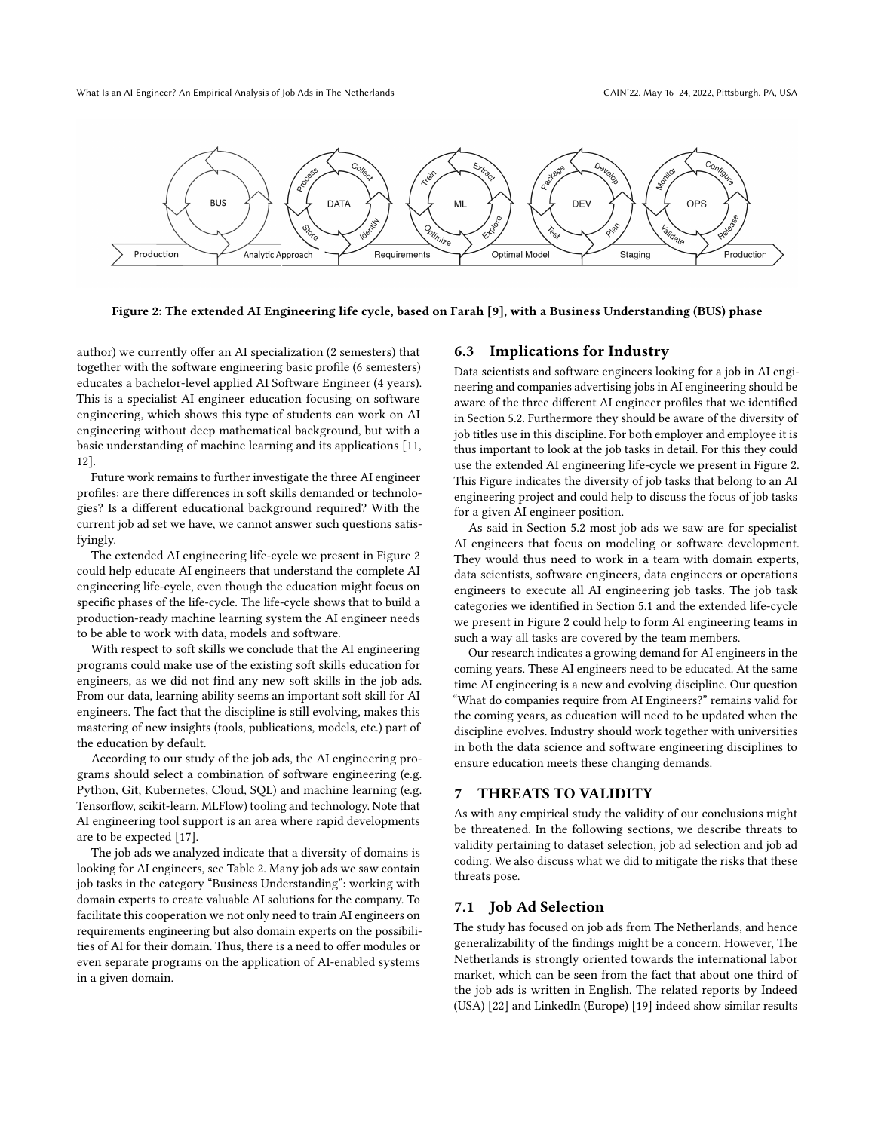<span id="page-6-1"></span>

Figure 2: The extended AI Engineering life cycle, based on Farah [\[9\]](#page-7-7), with a Business Understanding (BUS) phase

author) we currently offer an AI specialization (2 semesters) that together with the software engineering basic profile (6 semesters) educates a bachelor-level applied AI Software Engineer (4 years). This is a specialist AI engineer education focusing on software engineering, which shows this type of students can work on AI engineering without deep mathematical background, but with a basic understanding of machine learning and its applications [\[11,](#page-7-10) [12\]](#page-7-11).

Future work remains to further investigate the three AI engineer profiles: are there differences in soft skills demanded or technologies? Is a different educational background required? With the current job ad set we have, we cannot answer such questions satisfyingly.

The extended AI engineering life-cycle we present in Figure [2](#page-6-1) could help educate AI engineers that understand the complete AI engineering life-cycle, even though the education might focus on specific phases of the life-cycle. The life-cycle shows that to build a production-ready machine learning system the AI engineer needs to be able to work with data, models and software.

With respect to soft skills we conclude that the AI engineering programs could make use of the existing soft skills education for engineers, as we did not find any new soft skills in the job ads. From our data, learning ability seems an important soft skill for AI engineers. The fact that the discipline is still evolving, makes this mastering of new insights (tools, publications, models, etc.) part of the education by default.

According to our study of the job ads, the AI engineering programs should select a combination of software engineering (e.g. Python, Git, Kubernetes, Cloud, SQL) and machine learning (e.g. Tensorflow, scikit-learn, MLFlow) tooling and technology. Note that AI engineering tool support is an area where rapid developments are to be expected [\[17\]](#page-8-15).

The job ads we analyzed indicate that a diversity of domains is looking for AI engineers, see Table [2.](#page-3-2) Many job ads we saw contain job tasks in the category "Business Understanding": working with domain experts to create valuable AI solutions for the company. To facilitate this cooperation we not only need to train AI engineers on requirements engineering but also domain experts on the possibilities of AI for their domain. Thus, there is a need to offer modules or even separate programs on the application of AI-enabled systems in a given domain.

#### 6.3 Implications for Industry

Data scientists and software engineers looking for a job in AI engineering and companies advertising jobs in AI engineering should be aware of the three different AI engineer profiles that we identified in Section [5.2.](#page-4-3) Furthermore they should be aware of the diversity of job titles use in this discipline. For both employer and employee it is thus important to look at the job tasks in detail. For this they could use the extended AI engineering life-cycle we present in Figure [2.](#page-6-1) This Figure indicates the diversity of job tasks that belong to an AI engineering project and could help to discuss the focus of job tasks for a given AI engineer position.

As said in Section [5.2](#page-4-3) most job ads we saw are for specialist AI engineers that focus on modeling or software development. They would thus need to work in a team with domain experts, data scientists, software engineers, data engineers or operations engineers to execute all AI engineering job tasks. The job task categories we identified in Section [5.1](#page-4-2) and the extended life-cycle we present in Figure [2](#page-6-1) could help to form AI engineering teams in such a way all tasks are covered by the team members.

Our research indicates a growing demand for AI engineers in the coming years. These AI engineers need to be educated. At the same time AI engineering is a new and evolving discipline. Our question "What do companies require from AI Engineers?" remains valid for the coming years, as education will need to be updated when the discipline evolves. Industry should work together with universities in both the data science and software engineering disciplines to ensure education meets these changing demands.

## <span id="page-6-0"></span>7 THREATS TO VALIDITY

As with any empirical study the validity of our conclusions might be threatened. In the following sections, we describe threats to validity pertaining to dataset selection, job ad selection and job ad coding. We also discuss what we did to mitigate the risks that these threats pose.

#### 7.1 Job Ad Selection

The study has focused on job ads from The Netherlands, and hence generalizability of the findings might be a concern. However, The Netherlands is strongly oriented towards the international labor market, which can be seen from the fact that about one third of the job ads is written in English. The related reports by Indeed (USA) [\[22\]](#page-8-1) and LinkedIn (Europe) [\[19\]](#page-8-5) indeed show similar results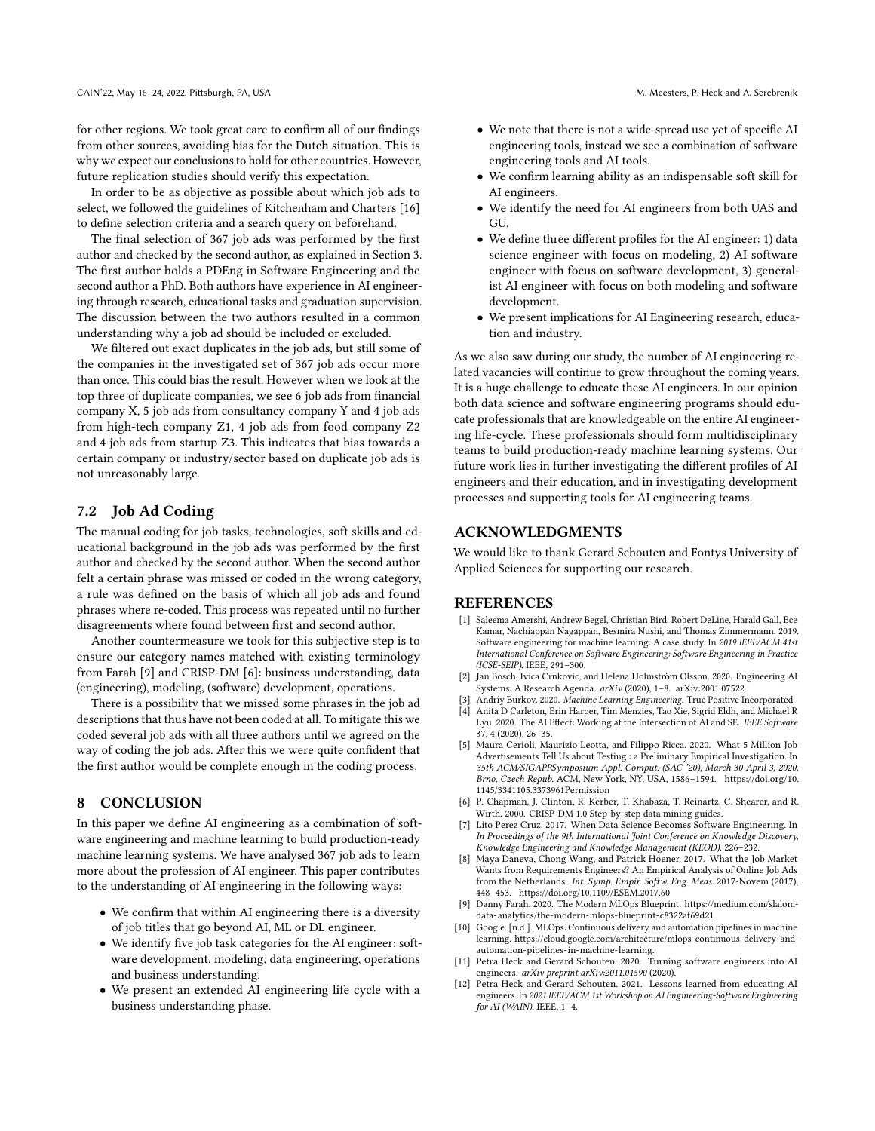for other regions. We took great care to confirm all of our findings from other sources, avoiding bias for the Dutch situation. This is why we expect our conclusions to hold for other countries. However, future replication studies should verify this expectation.

In order to be as objective as possible about which job ads to select, we followed the guidelines of Kitchenham and Charters [\[16\]](#page-8-10) to define selection criteria and a search query on beforehand.

The final selection of 367 job ads was performed by the first author and checked by the second author, as explained in Section [3.](#page-2-0) The first author holds a PDEng in Software Engineering and the second author a PhD. Both authors have experience in AI engineering through research, educational tasks and graduation supervision. The discussion between the two authors resulted in a common understanding why a job ad should be included or excluded.

We filtered out exact duplicates in the job ads, but still some of the companies in the investigated set of 367 job ads occur more than once. This could bias the result. However when we look at the top three of duplicate companies, we see 6 job ads from financial company X, 5 job ads from consultancy company Y and 4 job ads from high-tech company Z1, 4 job ads from food company Z2 and 4 job ads from startup Z3. This indicates that bias towards a certain company or industry/sector based on duplicate job ads is not unreasonably large.

## 7.2 Job Ad Coding

The manual coding for job tasks, technologies, soft skills and educational background in the job ads was performed by the first author and checked by the second author. When the second author felt a certain phrase was missed or coded in the wrong category, a rule was defined on the basis of which all job ads and found phrases where re-coded. This process was repeated until no further disagreements where found between first and second author.

Another countermeasure we took for this subjective step is to ensure our category names matched with existing terminology from Farah [\[9\]](#page-7-7) and CRISP-DM [\[6\]](#page-7-9): business understanding, data (engineering), modeling, (software) development, operations.

There is a possibility that we missed some phrases in the job ad descriptions that thus have not been coded at all. To mitigate this we coded several job ads with all three authors until we agreed on the way of coding the job ads. After this we were quite confident that the first author would be complete enough in the coding process.

## 8 CONCLUSION

In this paper we define AI engineering as a combination of software engineering and machine learning to build production-ready machine learning systems. We have analysed 367 job ads to learn more about the profession of AI engineer. This paper contributes to the understanding of AI engineering in the following ways:

- We confirm that within AI engineering there is a diversity of job titles that go beyond AI, ML or DL engineer.
- We identify five job task categories for the AI engineer: software development, modeling, data engineering, operations and business understanding.
- We present an extended AI engineering life cycle with a business understanding phase.
- We note that there is not a wide-spread use yet of specific AI engineering tools, instead we see a combination of software engineering tools and AI tools.
- We confirm learning ability as an indispensable soft skill for AI engineers.
- We identify the need for AI engineers from both UAS and GU.
- We define three different profiles for the AI engineer: 1) data science engineer with focus on modeling, 2) AI software engineer with focus on software development, 3) generalist AI engineer with focus on both modeling and software development.
- We present implications for AI Engineering research, education and industry.

As we also saw during our study, the number of AI engineering related vacancies will continue to grow throughout the coming years. It is a huge challenge to educate these AI engineers. In our opinion both data science and software engineering programs should educate professionals that are knowledgeable on the entire AI engineering life-cycle. These professionals should form multidisciplinary teams to build production-ready machine learning systems. Our future work lies in further investigating the different profiles of AI engineers and their education, and in investigating development processes and supporting tools for AI engineering teams.

#### ACKNOWLEDGMENTS

We would like to thank Gerard Schouten and Fontys University of Applied Sciences for supporting our research.

## REFERENCES

- <span id="page-7-1"></span>[1] Saleema Amershi, Andrew Begel, Christian Bird, Robert DeLine, Harald Gall, Ece Kamar, Nachiappan Nagappan, Besmira Nushi, and Thomas Zimmermann. 2019. Software engineering for machine learning: A case study. In 2019 IEEE/ACM 41st International Conference on Software Engineering: Software Engineering in Practice (ICSE-SEIP). IEEE, 291–300.
- <span id="page-7-0"></span>[2] Jan Bosch, Ivica Crnkovic, and Helena Holmström Olsson. 2020. Engineering AI Systems: A Research Agenda. arXiv (2020), 1–8. arXiv[:2001.07522](https://arxiv.org/abs/2001.07522)
- <span id="page-7-5"></span><span id="page-7-2"></span>[3] Andriy Burkov. 2020. Machine Learning Engineering. True Positive Incorporated. [4] Anita D Carleton, Erin Harper, Tim Menzies, Tao Xie, Sigrid Eldh, and Michael R Lyu. 2020. The AI Effect: Working at the Intersection of AI and SE. IEEE Software 37, 4 (2020), 26–35.
- <span id="page-7-8"></span>[5] Maura Cerioli, Maurizio Leotta, and Filippo Ricca. 2020. What 5 Million Job Advertisements Tell Us about Testing : a Preliminary Empirical Investigation. In 35th ACM/SIGAPPSymposium Appl. Comput. (SAC '20), March 30-April 3, 2020, Brno, Czech Repub. ACM, New York, NY, USA, 1586–1594. [https://doi.org/10.](https://doi.org/10.1145/3341105.3373961 Permission) [1145/3341105.3373961Permission](https://doi.org/10.1145/3341105.3373961 Permission)
- <span id="page-7-9"></span>[6] P. Chapman, J. Clinton, R. Kerber, T. Khabaza, T. Reinartz, C. Shearer, and R. Wirth. 2000. CRISP-DM 1.0 Step-by-step data mining guides.
- <span id="page-7-3"></span>[7] Lito Perez Cruz. 2017. When Data Science Becomes Software Engineering. In In Proceedings of the 9th International Joint Conference on Knowledge Discovery, Knowledge Engineering and Knowledge Management (KEOD). 226–232.
- <span id="page-7-4"></span>[8] Maya Daneva, Chong Wang, and Patrick Hoener. 2017. What the Job Market Wants from Requirements Engineers? An Empirical Analysis of Online Job Ads from the Netherlands. Int. Symp. Empir. Softw. Eng. Meas. 2017-Novem (2017), 448–453.<https://doi.org/10.1109/ESEM.2017.60>
- <span id="page-7-7"></span>[9] Danny Farah. 2020. The Modern MLOps Blueprint. [https://medium.com/slalom](https://medium.com/slalom-data-analytics/the-modern-mlops-blueprint-c8322af69d21)[data-analytics/the-modern-mlops-blueprint-c8322af69d21.](https://medium.com/slalom-data-analytics/the-modern-mlops-blueprint-c8322af69d21)
- <span id="page-7-6"></span>[10] Google. [n.d.]. MLOps: Continuous delivery and automation pipelines in machine learning. [https://cloud.google.com/architecture/mlops-continuous-delivery-and](https://cloud.google.com/architecture/mlops-continuous-delivery-and-automation-pipelines-in-machine-learning)[automation-pipelines-in-machine-learning.](https://cloud.google.com/architecture/mlops-continuous-delivery-and-automation-pipelines-in-machine-learning)
- <span id="page-7-10"></span>[11] Petra Heck and Gerard Schouten. 2020. Turning software engineers into AI engineers. arXiv preprint arXiv:2011.01590 (2020).
- <span id="page-7-11"></span>[12] Petra Heck and Gerard Schouten. 2021. Lessons learned from educating AI engineers. In 2021 IEEE/ACM 1st Workshop on AI Engineering-Software Engineering for AI (WAIN). IEEE, 1-4.